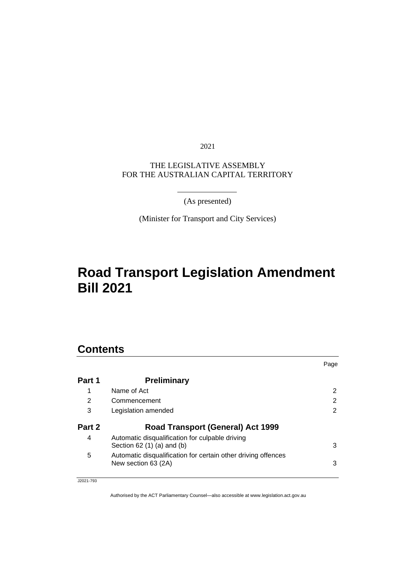2021

### THE LEGISLATIVE ASSEMBLY FOR THE AUSTRALIAN CAPITAL TERRITORY

(As presented)

(Minister for Transport and City Services)

# **Road Transport Legislation Amendment Bill 2021**

# **Contents**

|        |                                                                                      | Page |
|--------|--------------------------------------------------------------------------------------|------|
| Part 1 | <b>Preliminary</b>                                                                   |      |
|        | Name of Act                                                                          | 2    |
| 2      | Commencement                                                                         | 2    |
| 3      | Legislation amended                                                                  | 2    |
| Part 2 | <b>Road Transport (General) Act 1999</b>                                             |      |
| 4      | Automatic disqualification for culpable driving<br>Section $62(1)(a)$ and $(b)$      | 3    |
| 5      | Automatic disqualification for certain other driving offences<br>New section 63 (2A) | 3    |

J2021-793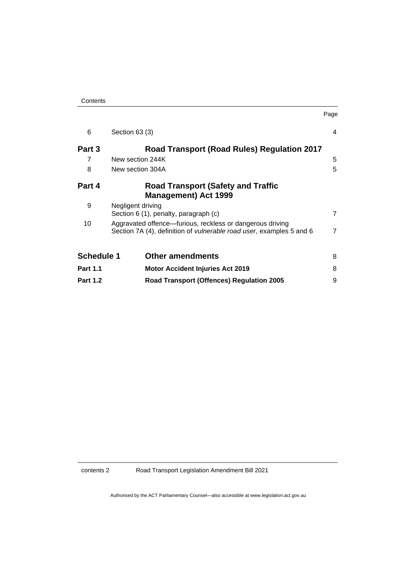| Contents |
|----------|
|----------|

| 6                 | Section 63 (3)                                                                                                                            | 4              |
|-------------------|-------------------------------------------------------------------------------------------------------------------------------------------|----------------|
| Part 3            | Road Transport (Road Rules) Regulation 2017                                                                                               |                |
| 7                 | New section 244K                                                                                                                          | 5              |
| 8                 | New section 304A                                                                                                                          | 5              |
| Part 4            | <b>Road Transport (Safety and Traffic</b><br><b>Management) Act 1999</b>                                                                  |                |
| 9                 | Negligent driving<br>Section 6 (1), penalty, paragraph (c)                                                                                | $\overline{7}$ |
| 10                | Aggravated offence-furious, reckless or dangerous driving<br>Section 7A (4), definition of <i>vulnerable road user</i> , examples 5 and 6 | $\overline{7}$ |
| <b>Schedule 1</b> | <b>Other amendments</b>                                                                                                                   | 8              |
| <b>Part 1.1</b>   | <b>Motor Accident Injuries Act 2019</b>                                                                                                   | 8              |
| <b>Part 1.2</b>   | <b>Road Transport (Offences) Regulation 2005</b>                                                                                          | 9              |

Page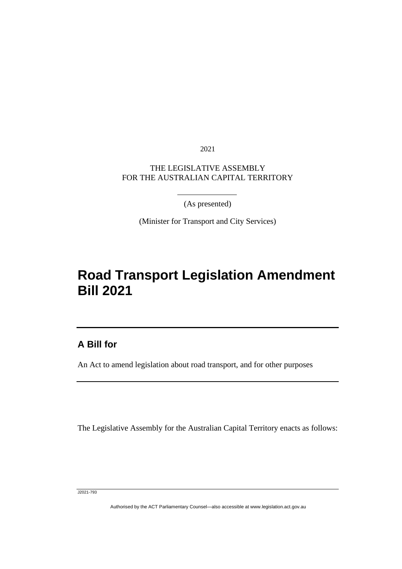2021

## THE LEGISLATIVE ASSEMBLY FOR THE AUSTRALIAN CAPITAL TERRITORY

(As presented)

(Minister for Transport and City Services)

# **Road Transport Legislation Amendment Bill 2021**

## **A Bill for**

ׅ֖֖֚֚֡֡֬֝֬

An Act to amend legislation about road transport, and for other purposes

The Legislative Assembly for the Australian Capital Territory enacts as follows:

J2021-793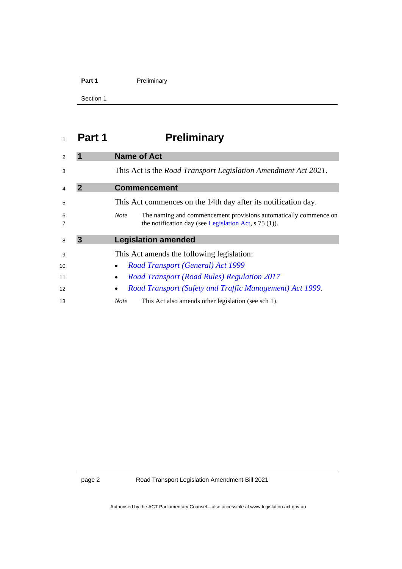### Part 1 **Preliminary**

Section 1

# <span id="page-3-0"></span>**Part 1 Preliminary**

<span id="page-3-3"></span><span id="page-3-2"></span><span id="page-3-1"></span>

|        |   | <b>Name of Act</b>                                                                                                                         |
|--------|---|--------------------------------------------------------------------------------------------------------------------------------------------|
| 3      |   | This Act is the <i>Road Transport Legislation Amendment Act 2021</i> .                                                                     |
| 4      | 2 | <b>Commencement</b>                                                                                                                        |
| 5      |   | This Act commences on the 14th day after its notification day.                                                                             |
| 6<br>7 |   | The naming and commencement provisions automatically commence on<br><i>Note</i><br>the notification day (see Legislation Act, $s$ 75 (1)). |
|        |   |                                                                                                                                            |
| 8      | 3 | <b>Legislation amended</b>                                                                                                                 |
| 9      |   | This Act amends the following legislation:                                                                                                 |
| 10     |   | <b>Road Transport (General) Act 1999</b>                                                                                                   |
| 11     |   | <b>Road Transport (Road Rules) Regulation 2017</b>                                                                                         |
| 12     |   | Road Transport (Safety and Traffic Management) Act 1999.                                                                                   |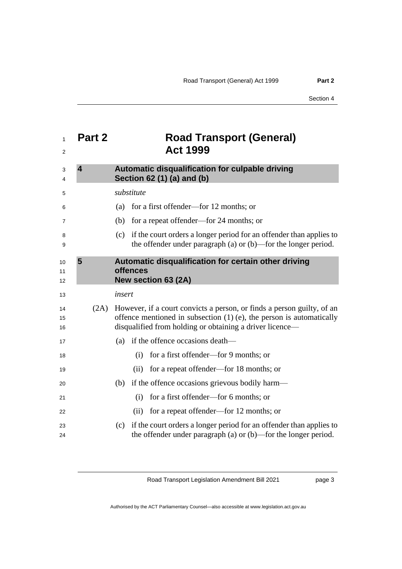<span id="page-4-2"></span><span id="page-4-1"></span><span id="page-4-0"></span>

| 1<br>2         | Part 2                  | <b>Road Transport (General)</b><br><b>Act 1999</b>                                                                                                                                                           |
|----------------|-------------------------|--------------------------------------------------------------------------------------------------------------------------------------------------------------------------------------------------------------|
| 3<br>4         | $\overline{\mathbf{4}}$ | <b>Automatic disqualification for culpable driving</b><br>Section 62 (1) (a) and (b)                                                                                                                         |
| 5              |                         | substitute                                                                                                                                                                                                   |
| 6              |                         | for a first offender—for 12 months; or<br>(a)                                                                                                                                                                |
| 7              |                         | for a repeat offender—for 24 months; or<br>(b)                                                                                                                                                               |
| 8<br>9         |                         | if the court orders a longer period for an offender than applies to<br>(c)<br>the offender under paragraph (a) or $(b)$ —for the longer period.                                                              |
| 10             | 5                       | Automatic disqualification for certain other driving<br>offences                                                                                                                                             |
| 11<br>12       |                         | New section 63 (2A)                                                                                                                                                                                          |
| 13             |                         | insert                                                                                                                                                                                                       |
| 14<br>15<br>16 | (2A)                    | However, if a court convicts a person, or finds a person guilty, of an<br>offence mentioned in subsection $(1)$ (e), the person is automatically<br>disqualified from holding or obtaining a driver licence- |
| 17             |                         | (a) if the offence occasions death—                                                                                                                                                                          |
| 18             |                         | for a first offender—for 9 months; or<br>(i)                                                                                                                                                                 |
| 19             |                         | (ii) for a repeat offender—for 18 months; or                                                                                                                                                                 |
| 20             |                         | if the offence occasions grievous bodily harm—<br>(b)                                                                                                                                                        |
| 21             |                         | for a first offender—for 6 months; or<br>(i)                                                                                                                                                                 |
| 22             |                         | for a repeat offender—for 12 months; or<br>(ii)                                                                                                                                                              |
| 23<br>24       |                         | if the court orders a longer period for an offender than applies to<br>(c)<br>the offender under paragraph (a) or $(b)$ —for the longer period.                                                              |

Road Transport Legislation Amendment Bill 2021

page 3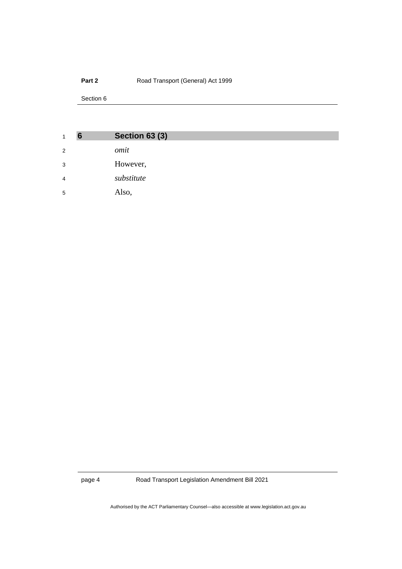### **Part 2 Road Transport (General) Act 1999**

Section 6

<span id="page-5-0"></span>

| $\mathbf{1}$   | 6 | <b>Section 63 (3)</b> |
|----------------|---|-----------------------|
| 2              |   | omit                  |
| 3              |   | However,              |
| $\overline{4}$ |   | substitute            |
| 5              |   | Also,                 |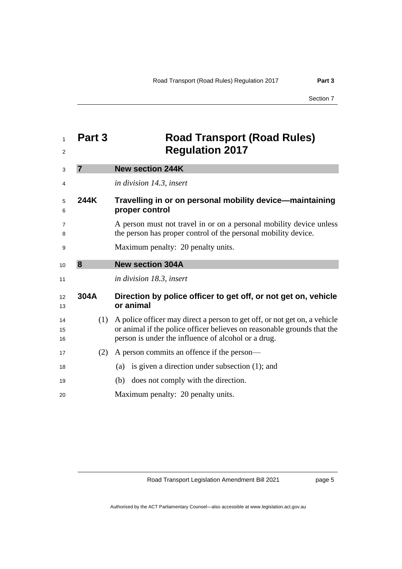<span id="page-6-2"></span><span id="page-6-1"></span><span id="page-6-0"></span>

| 1<br>2         | Part 3         | <b>Road Transport (Road Rules)</b><br><b>Regulation 2017</b>                                                                                                                                                |
|----------------|----------------|-------------------------------------------------------------------------------------------------------------------------------------------------------------------------------------------------------------|
| 3              | $\overline{7}$ | <b>New section 244K</b>                                                                                                                                                                                     |
| 4              |                | in division 14.3, insert                                                                                                                                                                                    |
| 5<br>6         | 244K           | Travelling in or on personal mobility device—maintaining<br>proper control                                                                                                                                  |
| 7<br>8         |                | A person must not travel in or on a personal mobility device unless<br>the person has proper control of the personal mobility device.                                                                       |
| 9              |                | Maximum penalty: 20 penalty units.                                                                                                                                                                          |
| 10             | 8              | <b>New section 304A</b>                                                                                                                                                                                     |
| 11             |                | in division 18.3, insert                                                                                                                                                                                    |
| 12<br>13       | 304A           | Direction by police officer to get off, or not get on, vehicle<br>or animal                                                                                                                                 |
| 14<br>15<br>16 | (1)            | A police officer may direct a person to get off, or not get on, a vehicle<br>or animal if the police officer believes on reasonable grounds that the<br>person is under the influence of alcohol or a drug. |
| 17             | (2)            | A person commits an offence if the person—                                                                                                                                                                  |
| 18             |                | is given a direction under subsection (1); and<br>(a)                                                                                                                                                       |
| 19             |                | does not comply with the direction.<br>(b)                                                                                                                                                                  |
| 20             |                | Maximum penalty: 20 penalty units.                                                                                                                                                                          |

Road Transport Legislation Amendment Bill 2021

page 5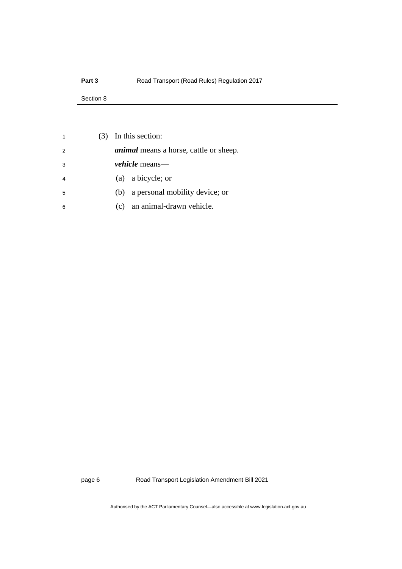### **Part 3 Road Transport (Road Rules) Regulation 2017**

#### Section 8

| $(3)$ In this section:                        |
|-----------------------------------------------|
| <i>animal</i> means a horse, cattle or sheep. |
| <i>vehicle</i> means—                         |
| (a) a bicycle; or                             |
| a personal mobility device; or<br>(b)         |
| an animal-drawn vehicle.<br>$\left( c\right)$ |
|                                               |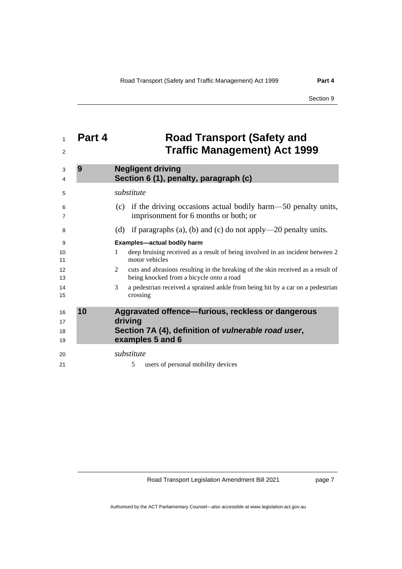## <span id="page-8-0"></span> **Part 4 Road Transport (Safety and Traffic Management) Act 1999**

<span id="page-8-2"></span><span id="page-8-1"></span>

| 3<br>4               | 9  | <b>Negligent driving</b><br>Section 6 (1), penalty, paragraph (c)                                                                       |
|----------------------|----|-----------------------------------------------------------------------------------------------------------------------------------------|
| 5                    |    | substitute                                                                                                                              |
| 6<br>7               |    | if the driving occasions actual bodily harm—50 penalty units,<br>(c)<br>imprisonment for 6 months or both; or                           |
| 8                    |    | if paragraphs (a), (b) and (c) do not apply—20 penalty units.<br>(d)                                                                    |
| 9                    |    | <b>Examples-actual bodily harm</b>                                                                                                      |
| 10<br>11             |    | deep bruising received as a result of being involved in an incident between 2<br>$\mathbf{1}$<br>motor vehicles                         |
| 12<br>13             |    | cuts and abrasions resulting in the breaking of the skin received as a result of<br>2<br>being knocked from a bicycle onto a road       |
| 14<br>15             |    | 3<br>a pedestrian received a sprained ankle from being hit by a car on a pedestrian<br>crossing                                         |
| 16<br>17<br>18<br>19 | 10 | Aggravated offence-furious, reckless or dangerous<br>driving<br>Section 7A (4), definition of vulnerable road user,<br>examples 5 and 6 |
| 20<br>21             |    | substitute<br>users of personal mobility devices<br>5                                                                                   |

Road Transport Legislation Amendment Bill 2021

page 7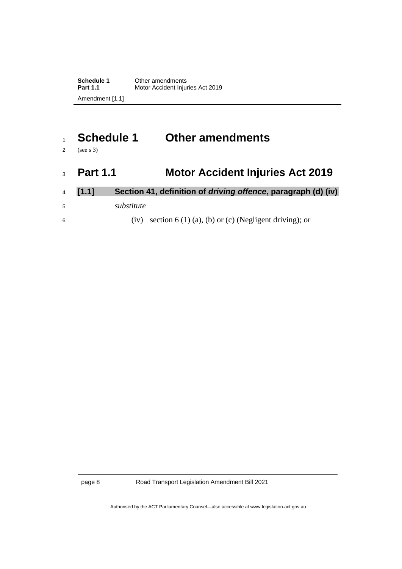# <span id="page-9-0"></span><sup>1</sup> **Schedule 1 Other amendments**

<span id="page-9-1"></span>2 (see s 3)

# <sup>3</sup> **Part 1.1 Motor Accident Injuries Act 2019**

- <sup>4</sup> **[1.1] Section 41, definition of** *driving offence***, paragraph (d) (iv)** <sup>5</sup> *substitute*
- 6 (iv) section 6 (1) (a), (b) or (c) (Negligent driving); or

page 8 Road Transport Legislation Amendment Bill 2021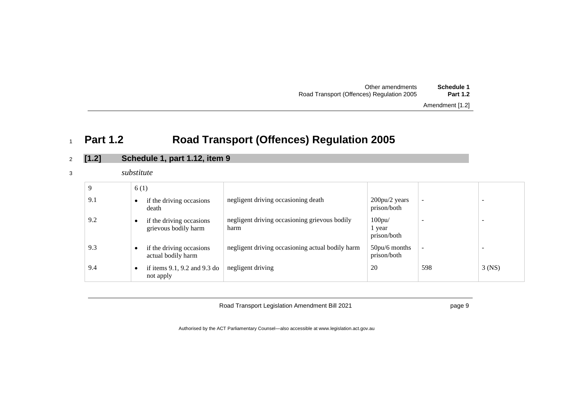| Other amendments                          | Schedule 1      |
|-------------------------------------------|-----------------|
| Road Transport (Offences) Regulation 2005 | <b>Part 1.2</b> |

#### Amendment [1.2]

# <sup>1</sup> **Part 1.2 Road Transport (Offences) Regulation 2005**

## <sup>2</sup> **[1.2] Schedule 1, part 1.12, item 9**

<sup>3</sup> *substitute*

<span id="page-10-0"></span>

| 9   | 6(1)                                             |                                                       |                                       |                          |                          |
|-----|--------------------------------------------------|-------------------------------------------------------|---------------------------------------|--------------------------|--------------------------|
| 9.1 | if the driving occasions<br>death                | negligent driving occasioning death                   | $200pu/2$ years<br>prison/both        | $\overline{\phantom{a}}$ | -                        |
| 9.2 | if the driving occasions<br>grievous bodily harm | negligent driving occasioning grievous bodily<br>harm | $100$ pu $/$<br>1 year<br>prison/both | -                        | $\overline{\phantom{0}}$ |
| 9.3 | if the driving occasions<br>actual bodily harm   | negligent driving occasioning actual bodily harm      | $50pu/6$ months<br>prison/both        | $\overline{\phantom{a}}$ | -                        |
| 9.4 | if items $9.1$ , $9.2$ and $9.3$ do<br>not apply | negligent driving                                     | 20                                    | 598                      | $3$ (NS)                 |

Road Transport Legislation Amendment Bill 2021

page 9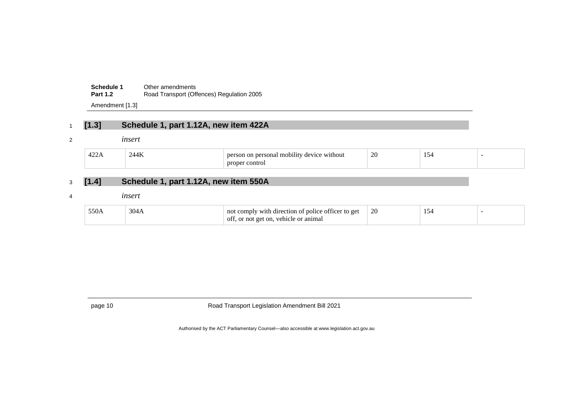| Schedule 1      | Other amendments                          |
|-----------------|-------------------------------------------|
| <b>Part 1.2</b> | Road Transport (Offences) Regulation 2005 |

Amendment [1.3]

## <sup>1</sup> **[1.3] Schedule 1, part 1.12A, new item 422A**

#### <sup>2</sup> *insert*

| 40 <sup>o</sup><br>т∠∠ | $\sim$<br>.<br>--- | <br>)h1l1fV<br>$n_{\mathbf{a}}$<br>$0^{\text{AV10}}$<br>m<br>"nout | 20<br>$\sim$ | $\sim$<br>⊿ר<br>$\sim$ |  |
|------------------------|--------------------|--------------------------------------------------------------------|--------------|------------------------|--|
|                        |                    | proper<br>ontro                                                    |              |                        |  |

# <sup>3</sup> **[1.4] Schedule 1, part 1.12A, new item 550A**

#### <sup>4</sup> *insert*

| 550A | $\bigcap$ | with direction of<br>t police officer to get<br>$\gamma$ mply<br>no | 26<br>∠∪ |  |
|------|-----------|---------------------------------------------------------------------|----------|--|
|      |           | vehicle or animal<br>-OI 1<br>or not get on.                        |          |  |

page 10 Road Transport Legislation Amendment Bill 2021